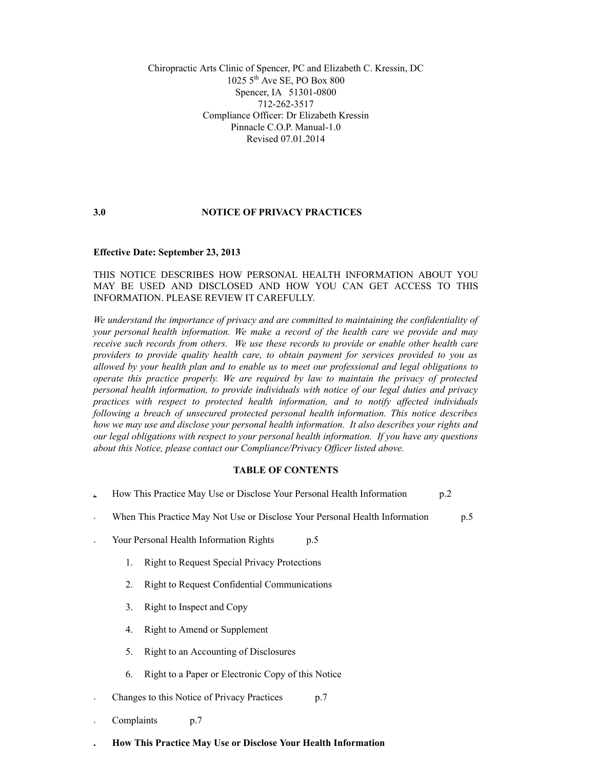Chiropractic Arts Clinic of Spencer, PC and Elizabeth C. Kressin, DC  $1025$   $5^{th}$  Ave SE, PO Box 800 Spencer, IA 51301-0800 712-262-3517 Compliance Officer: Dr Elizabeth Kressin Pinnacle C.O.P. Manual-1.0 Revised 07.01.2014

### **3.0 NOTICE OF PRIVACY PRACTICES**

### **Effective Date: September 23, 2013**

## THIS NOTICE DESCRIBES HOW PERSONAL HEALTH INFORMATION ABOUT YOU MAY BE USED AND DISCLOSED AND HOW YOU CAN GET ACCESS TO THIS INFORMATION. PLEASE REVIEW IT CAREFULLY.

*We understand the importance of privacy and are committed to maintaining the confidentiality of your personal health information. We make a record of the health care we provide and may receive such records from others. We use these records to provide or enable other health care providers to provide quality health care, to obtain payment for services provided to you as allowed by your health plan and to enable us to meet our professional and legal obligations to operate this practice properly. We are required by law to maintain the privacy of protected personal health information, to provide individuals with notice of our legal duties and privacy practices with respect to protected health information, and to notify affected individuals following a breach of unsecured protected personal health information. This notice describes how we may use and disclose your personal health information. It also describes your rights and our legal obligations with respect to your personal health information. If you have any questions about this Notice, please contact our Compliance/Privacy Officer listed above.*

### **TABLE OF CONTENTS**

|  |  | How This Practice May Use or Disclose Your Personal Health Information | p.2 |
|--|--|------------------------------------------------------------------------|-----|
|--|--|------------------------------------------------------------------------|-----|

- When This Practice May Not Use or Disclose Your Personal Health Information p.5 .
- Your Personal Health Information Rights p.5 .
	- Right to Request Special Privacy Protections 1.
	- Right to Request Confidential Communications 2.
	- Right to Inspect and Copy 3.
	- Right to Amend or Supplement 4.
	- Right to an Accounting of Disclosures 5.
	- Right to a Paper or Electronic Copy of this Notice 6.
- Changes to this Notice of Privacy Practices p.7 .
- Complaints p.7 .

**.**

**How This Practice May Use or Disclose Your Health Information**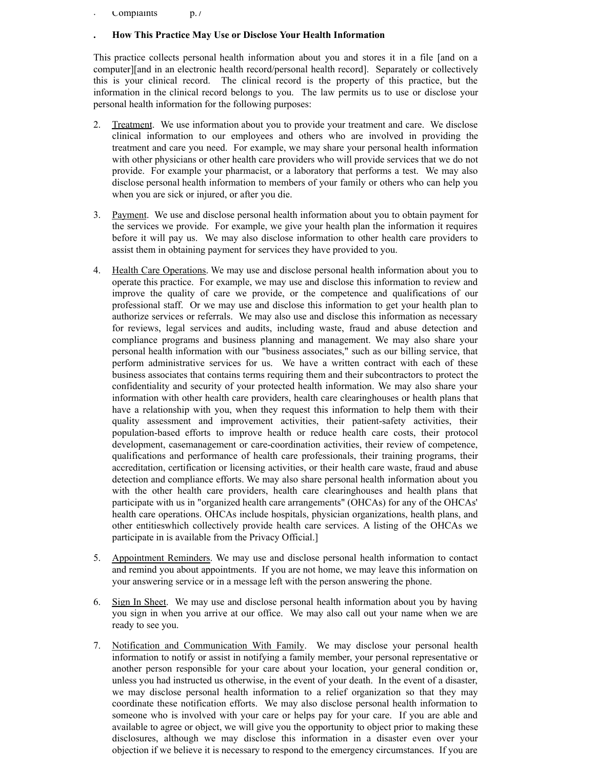Complaints p.7 .

**.**

## **How This Practice May Use or Disclose Your Health Information**

This practice collects personal health information about you and stores it in a file [and on a computer][and in an electronic health record/personal health record]. Separately or collectively this is your clinical record. The clinical record is the property of this practice, but the information in the clinical record belongs to you. The law permits us to use or disclose your personal health information for the following purposes:

- Treatment. We use information about you to provide your treatment and care. We disclose clinical information to our employees and others who are involved in providing the treatment and care you need. For example, we may share your personal health information with other physicians or other health care providers who will provide services that we do not provide. For example your pharmacist, or a laboratory that performs a test. We may also disclose personal health information to members of your family or others who can help you when you are sick or injured, or after you die. 2.
- 3. Payment. We use and disclose personal health information about you to obtain payment for the services we provide. For example, we give your health plan the information it requires before it will pay us. We may also disclose information to other health care providers to assist them in obtaining payment for services they have provided to you.
- 4. Health Care Operations. We may use and disclose personal health information about you to operate this practice. For example, we may use and disclose this information to review and improve the quality of care we provide, or the competence and qualifications of our professional staff. Or we may use and disclose this information to get your health plan to authorize services or referrals. We may also use and disclose this information as necessary for reviews, legal services and audits, including waste, fraud and abuse detection and compliance programs and business planning and management. We may also share your personal health information with our "business associates," such as our billing service, that perform administrative services for us. We have a written contract with each of these business associates that contains terms requiring them and their subcontractors to protect the confidentiality and security of your protected health information. We may also share your information with other health care providers, health care clearinghouses or health plans that have a relationship with you, when they request this information to help them with their quality assessment and improvement activities, their patient-safety activities, their population-based efforts to improve health or reduce health care costs, their protocol development, casemanagement or care-coordination activities, their review of competence, qualifications and performance of health care professionals, their training programs, their accreditation, certification or licensing activities, or their health care waste, fraud and abuse detection and compliance efforts. We may also share personal health information about you with the other health care providers, health care clearinghouses and health plans that participate with us in "organized health care arrangements" (OHCAs) for any of the OHCAs' health care operations. OHCAs include hospitals, physician organizations, health plans, and other entitieswhich collectively provide health care services. A listing of the OHCAs we participate in is available from the Privacy Official.]
- 5. Appointment Reminders. We may use and disclose personal health information to contact and remind you about appointments. If you are not home, we may leave this information on your answering service or in a message left with the person answering the phone.
- 6. Sign In Sheet. We may use and disclose personal health information about you by having you sign in when you arrive at our office. We may also call out your name when we are ready to see you.
- Notification and Communication With Family. We may disclose your personal health information to notify or assist in notifying a family member, your personal representative or another person responsible for your care about your location, your general condition or, unless you had instructed us otherwise, in the event of your death. In the event of a disaster, we may disclose personal health information to a relief organization so that they may coordinate these notification efforts. We may also disclose personal health information to someone who is involved with your care or helps pay for your care. If you are able and available to agree or object, we will give you the opportunity to object prior to making these disclosures, although we may disclose this information in a disaster even over your objection if we believe it is necessary to respond to the emergency circumstances. If you are 7.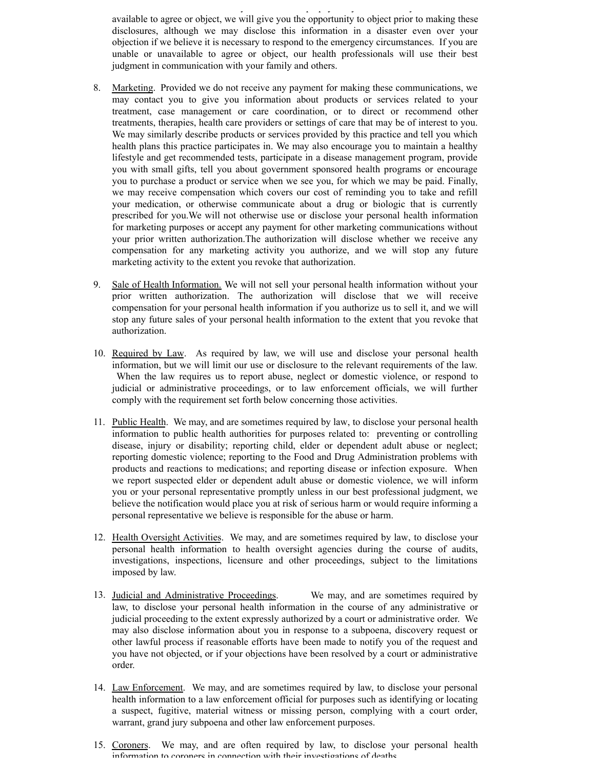available to agree or object, we will give you the opportunity to object prior to making these disclosures, although we may disclose this information in a disaster even over your objection if we believe it is necessary to respond to the emergency circumstances. If you are unable or unavailable to agree or object, our health professionals will use their best judgment in communication with your family and others.

someone who is involved with your care or helps pay for your care. If you are able and

- 8. Marketing. Provided we do not receive any payment for making these communications, we may contact you to give you information about products or services related to your treatment, case management or care coordination, or to direct or recommend other treatments, therapies, health care providers or settings of care that may be of interest to you. We may similarly describe products or services provided by this practice and tell you which health plans this practice participates in. We may also encourage you to maintain a healthy lifestyle and get recommended tests, participate in a disease management program, provide you with small gifts, tell you about government sponsored health programs or encourage you to purchase a product or service when we see you, for which we may be paid. Finally, we may receive compensation which covers our cost of reminding you to take and refill your medication, or otherwise communicate about a drug or biologic that is currently prescribed for you.We will not otherwise use or disclose your personal health information for marketing purposes or accept any payment for other marketing communications without your prior written authorization.The authorization will disclose whether we receive any compensation for any marketing activity you authorize, and we will stop any future marketing activity to the extent you revoke that authorization.
- Sale of Health Information. We will not sell your personal health information without your prior written authorization. The authorization will disclose that we will receive compensation for your personal health information if you authorize us to sell it, and we will stop any future sales of your personal health information to the extent that you revoke that authorization. 9.
- 10. Required by Law. As required by law, we will use and disclose your personal health information, but we will limit our use or disclosure to the relevant requirements of the law. When the law requires us to report abuse, neglect or domestic violence, or respond to judicial or administrative proceedings, or to law enforcement officials, we will further comply with the requirement set forth below concerning those activities.
- 11. Public Health. We may, and are sometimes required by law, to disclose your personal health information to public health authorities for purposes related to: preventing or controlling disease, injury or disability; reporting child, elder or dependent adult abuse or neglect; reporting domestic violence; reporting to the Food and Drug Administration problems with products and reactions to medications; and reporting disease or infection exposure. When we report suspected elder or dependent adult abuse or domestic violence, we will inform you or your personal representative promptly unless in our best professional judgment, we believe the notification would place you at risk of serious harm or would require informing a personal representative we believe is responsible for the abuse or harm.
- 12. Health Oversight Activities. We may, and are sometimes required by law, to disclose your personal health information to health oversight agencies during the course of audits, investigations, inspections, licensure and other proceedings, subject to the limitations imposed by law.
- We may, and are sometimes required by law, to disclose your personal health information in the course of any administrative or judicial proceeding to the extent expressly authorized by a court or administrative order. We may also disclose information about you in response to a subpoena, discovery request or other lawful process if reasonable efforts have been made to notify you of the request and you have not objected, or if your objections have been resolved by a court or administrative order. 13. Judicial and Administrative Proceedings.
- 14. Law Enforcement. We may, and are sometimes required by law, to disclose your personal health information to a law enforcement official for purposes such as identifying or locating a suspect, fugitive, material witness or missing person, complying with a court order, warrant, grand jury subpoena and other law enforcement purposes.
- 15. Coroners. We may, and are often required by law, to disclose your personal health information to coroners in connection with their investigations of deaths.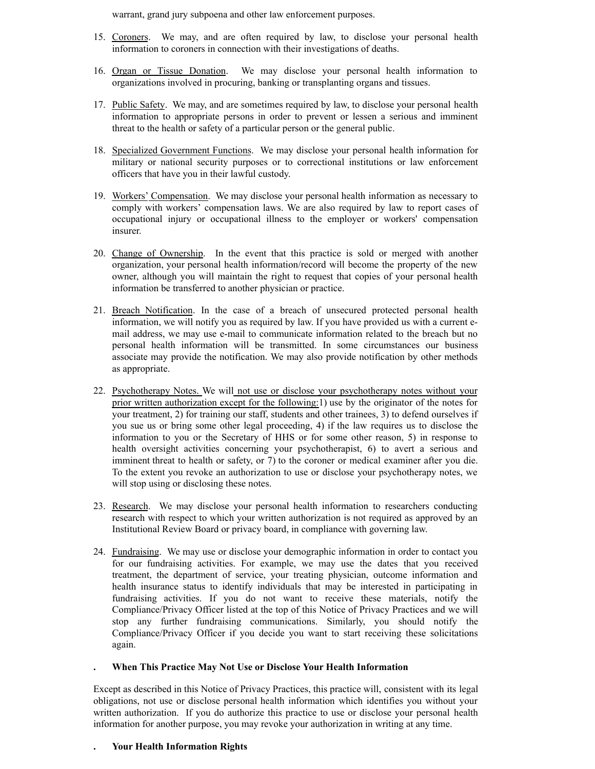warrant, grand jury subpoena and other law enforcement purposes.

- 15. Coroners. We may, and are often required by law, to disclose your personal health information to coroners in connection with their investigations of deaths.
- 16. Organ or Tissue Donation. We may disclose your personal health information to organizations involved in procuring, banking or transplanting organs and tissues.
- 17. Public Safety. We may, and are sometimes required by law, to disclose your personal health information to appropriate persons in order to prevent or lessen a serious and imminent threat to the health or safety of a particular person or the general public.
- 18. Specialized Government Functions. We may disclose your personal health information for military or national security purposes or to correctional institutions or law enforcement officers that have you in their lawful custody.
- 19. Workers' Compensation. We may disclose your personal health information as necessary to comply with workers' compensation laws. We are also required by law to report cases of occupational injury or occupational illness to the employer or workers' compensation insurer.
- 20. Change of Ownership. In the event that this practice is sold or merged with another organization, your personal health information/record will become the property of the new owner, although you will maintain the right to request that copies of your personal health information be transferred to another physician or practice.
- 21. Breach Notification. In the case of a breach of unsecured protected personal health information, we will notify you as required by law. If you have provided us with a current email address, we may use e-mail to communicate information related to the breach but no personal health information will be transmitted. In some circumstances our business associate may provide the notification. We may also provide notification by other methods as appropriate.
- 22. Psychotherapy Notes. We will not use or disclose your psychotherapy notes without your prior written authorization except for the following:1) use by the originator of the notes for your treatment, 2) for training our staff, students and other trainees, 3) to defend ourselves if you sue us or bring some other legal proceeding, 4) if the law requires us to disclose the information to you or the Secretary of HHS or for some other reason, 5) in response to health oversight activities concerning your psychotherapist, 6) to avert a serious and imminent threat to health or safety, or 7) to the coroner or medical examiner after you die. To the extent you revoke an authorization to use or disclose your psychotherapy notes, we will stop using or disclosing these notes.
- 23. Research. We may disclose your personal health information to researchers conducting research with respect to which your written authorization is not required as approved by an Institutional Review Board or privacy board, in compliance with governing law.
- 24. Fundraising. We may use or disclose your demographic information in order to contact you for our fundraising activities. For example, we may use the dates that you received treatment, the department of service, your treating physician, outcome information and health insurance status to identify individuals that may be interested in participating in fundraising activities. If you do not want to receive these materials, notify the Compliance/Privacy Officer listed at the top of this Notice of Privacy Practices and we will stop any further fundraising communications. Similarly, you should notify the Compliance/Privacy Officer if you decide you want to start receiving these solicitations again.

#### **When This Practice May Not Use or Disclose Your Health Information .**

Except as described in this Notice of Privacy Practices, this practice will, consistent with its legal obligations, not use or disclose personal health information which identifies you without your written authorization. If you do authorize this practice to use or disclose your personal health information for another purpose, you may revoke your authorization in writing at any time.

#### **Your Health Information Rights .**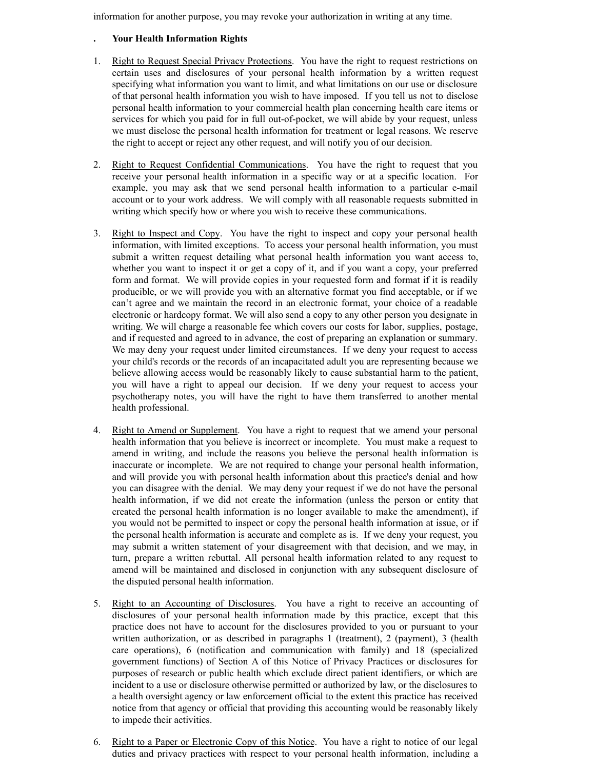information for another purpose, you may revoke your authorization in writing at any time.

## **Your Health Information Rights**

**.**

- Right to Request Special Privacy Protections. You have the right to request restrictions on certain uses and disclosures of your personal health information by a written request specifying what information you want to limit, and what limitations on our use or disclosure of that personal health information you wish to have imposed. If you tell us not to disclose personal health information to your commercial health plan concerning health care items or services for which you paid for in full out-of-pocket, we will abide by your request, unless we must disclose the personal health information for treatment or legal reasons. We reserve the right to accept or reject any other request, and will notify you of our decision. 1.
- Right to Request Confidential Communications. You have the right to request that you receive your personal health information in a specific way or at a specific location. For example, you may ask that we send personal health information to a particular e-mail account or to your work address. We will comply with all reasonable requests submitted in writing which specify how or where you wish to receive these communications. 2.
- Right to Inspect and Copy. You have the right to inspect and copy your personal health information, with limited exceptions. To access your personal health information, you must submit a written request detailing what personal health information you want access to, whether you want to inspect it or get a copy of it, and if you want a copy, your preferred form and format. We will provide copies in your requested form and format if it is readily producible, or we will provide you with an alternative format you find acceptable, or if we can't agree and we maintain the record in an electronic format, your choice of a readable electronic or hardcopy format. We will also send a copy to any other person you designate in writing. We will charge a reasonable fee which covers our costs for labor, supplies, postage, and if requested and agreed to in advance, the cost of preparing an explanation or summary. We may deny your request under limited circumstances. If we deny your request to access your child's records or the records of an incapacitated adult you are representing because we believe allowing access would be reasonably likely to cause substantial harm to the patient, you will have a right to appeal our decision. If we deny your request to access your psychotherapy notes, you will have the right to have them transferred to another mental health professional. 3.
- Right to Amend or Supplement. You have a right to request that we amend your personal health information that you believe is incorrect or incomplete. You must make a request to amend in writing, and include the reasons you believe the personal health information is inaccurate or incomplete. We are not required to change your personal health information, and will provide you with personal health information about this practice's denial and how you can disagree with the denial. We may deny your request if we do not have the personal health information, if we did not create the information (unless the person or entity that created the personal health information is no longer available to make the amendment), if you would not be permitted to inspect or copy the personal health information at issue, or if the personal health information is accurate and complete as is. If we deny your request, you may submit a written statement of your disagreement with that decision, and we may, in turn, prepare a written rebuttal. All personal health information related to any request to amend will be maintained and disclosed in conjunction with any subsequent disclosure of the disputed personal health information. 4.
- Right to an Accounting of Disclosures. You have a right to receive an accounting of disclosures of your personal health information made by this practice, except that this practice does not have to account for the disclosures provided to you or pursuant to your written authorization, or as described in paragraphs 1 (treatment), 2 (payment), 3 (health care operations), 6 (notification and communication with family) and 18 (specialized government functions) of Section A of this Notice of Privacy Practices or disclosures for purposes of research or public health which exclude direct patient identifiers, or which are incident to a use or disclosure otherwise permitted or authorized by law, or the disclosures to a health oversight agency or law enforcement official to the extent this practice has received notice from that agency or official that providing this accounting would be reasonably likely to impede their activities. 5.
- Right to a Paper or Electronic Copy of this Notice. You have a right to notice of our legal duties and privacy practices with respect to your personal health information, including a 6.